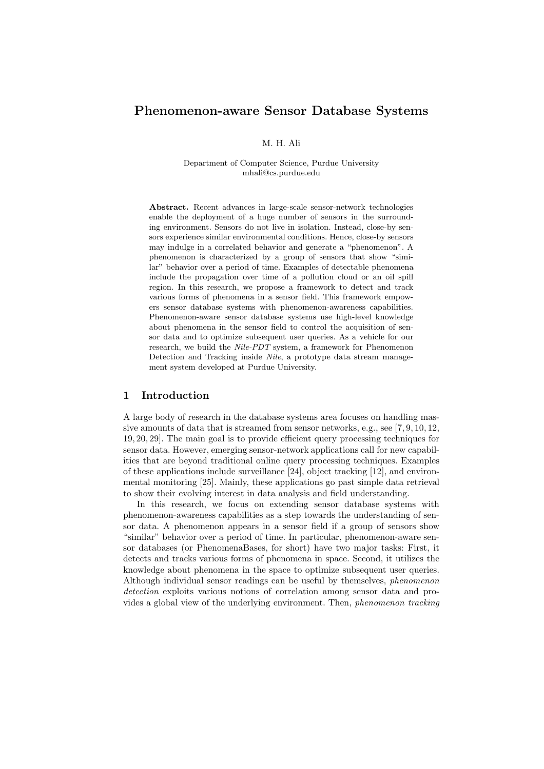# Phenomenon-aware Sensor Database Systems

M. H. Ali

Department of Computer Science, Purdue University mhali@cs.purdue.edu

Abstract. Recent advances in large-scale sensor-network technologies enable the deployment of a huge number of sensors in the surrounding environment. Sensors do not live in isolation. Instead, close-by sensors experience similar environmental conditions. Hence, close-by sensors may indulge in a correlated behavior and generate a "phenomenon". A phenomenon is characterized by a group of sensors that show "similar" behavior over a period of time. Examples of detectable phenomena include the propagation over time of a pollution cloud or an oil spill region. In this research, we propose a framework to detect and track various forms of phenomena in a sensor field. This framework empowers sensor database systems with phenomenon-awareness capabilities. Phenomenon-aware sensor database systems use high-level knowledge about phenomena in the sensor field to control the acquisition of sensor data and to optimize subsequent user queries. As a vehicle for our research, we build the Nile-PDT system, a framework for Phenomenon Detection and Tracking inside Nile, a prototype data stream management system developed at Purdue University.

# 1 Introduction

A large body of research in the database systems area focuses on handling massive amounts of data that is streamed from sensor networks, e.g., see [7, 9, 10, 12, 19, 20, 29]. The main goal is to provide efficient query processing techniques for sensor data. However, emerging sensor-network applications call for new capabilities that are beyond traditional online query processing techniques. Examples of these applications include surveillance [24], object tracking [12], and environmental monitoring [25]. Mainly, these applications go past simple data retrieval to show their evolving interest in data analysis and field understanding.

In this research, we focus on extending sensor database systems with phenomenon-awareness capabilities as a step towards the understanding of sensor data. A phenomenon appears in a sensor field if a group of sensors show "similar" behavior over a period of time. In particular, phenomenon-aware sensor databases (or PhenomenaBases, for short) have two major tasks: First, it detects and tracks various forms of phenomena in space. Second, it utilizes the knowledge about phenomena in the space to optimize subsequent user queries. Although individual sensor readings can be useful by themselves, phenomenon detection exploits various notions of correlation among sensor data and provides a global view of the underlying environment. Then, phenomenon tracking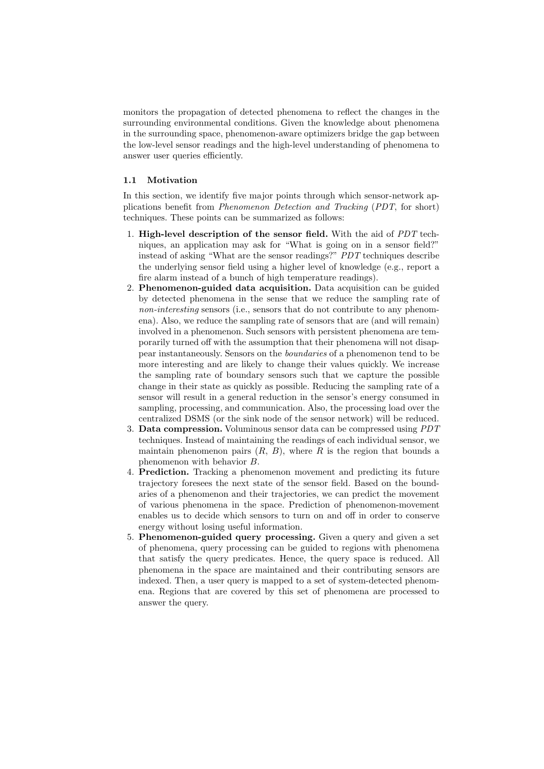monitors the propagation of detected phenomena to reflect the changes in the surrounding environmental conditions. Given the knowledge about phenomena in the surrounding space, phenomenon-aware optimizers bridge the gap between the low-level sensor readings and the high-level understanding of phenomena to answer user queries efficiently.

### 1.1 Motivation

In this section, we identify five major points through which sensor-network applications benefit from Phenomenon Detection and Tracking (PDT, for short) techniques. These points can be summarized as follows:

- 1. High-level description of the sensor field. With the aid of PDT techniques, an application may ask for "What is going on in a sensor field?" instead of asking "What are the sensor readings?" PDT techniques describe the underlying sensor field using a higher level of knowledge (e.g., report a fire alarm instead of a bunch of high temperature readings).
- 2. Phenomenon-guided data acquisition. Data acquisition can be guided by detected phenomena in the sense that we reduce the sampling rate of non-interesting sensors (i.e., sensors that do not contribute to any phenomena). Also, we reduce the sampling rate of sensors that are (and will remain) involved in a phenomenon. Such sensors with persistent phenomena are temporarily turned off with the assumption that their phenomena will not disappear instantaneously. Sensors on the boundaries of a phenomenon tend to be more interesting and are likely to change their values quickly. We increase the sampling rate of boundary sensors such that we capture the possible change in their state as quickly as possible. Reducing the sampling rate of a sensor will result in a general reduction in the sensor's energy consumed in sampling, processing, and communication. Also, the processing load over the centralized DSMS (or the sink node of the sensor network) will be reduced.
- 3. Data compression. Voluminous sensor data can be compressed using PDT techniques. Instead of maintaining the readings of each individual sensor, we maintain phenomenon pairs  $(R, B)$ , where R is the region that bounds a phenomenon with behavior B.
- 4. Prediction. Tracking a phenomenon movement and predicting its future trajectory foresees the next state of the sensor field. Based on the boundaries of a phenomenon and their trajectories, we can predict the movement of various phenomena in the space. Prediction of phenomenon-movement enables us to decide which sensors to turn on and off in order to conserve energy without losing useful information.
- 5. Phenomenon-guided query processing. Given a query and given a set of phenomena, query processing can be guided to regions with phenomena that satisfy the query predicates. Hence, the query space is reduced. All phenomena in the space are maintained and their contributing sensors are indexed. Then, a user query is mapped to a set of system-detected phenomena. Regions that are covered by this set of phenomena are processed to answer the query.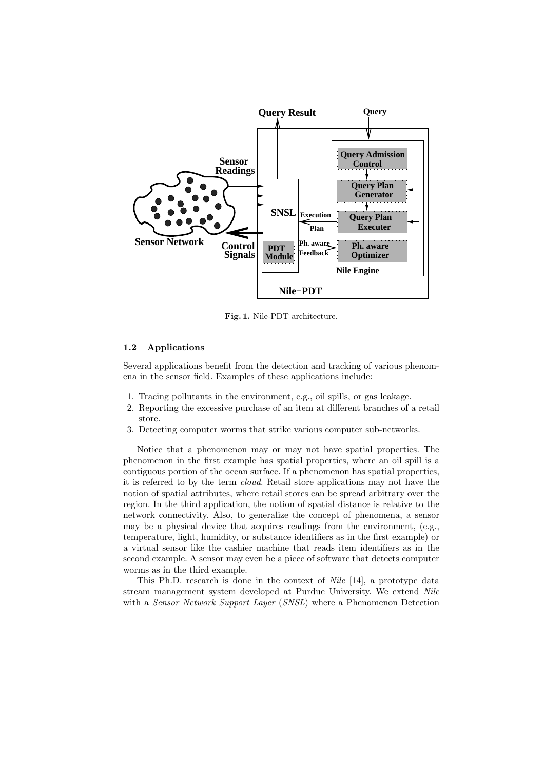

Fig. 1. Nile-PDT architecture.

#### 1.2 Applications

Several applications benefit from the detection and tracking of various phenomena in the sensor field. Examples of these applications include:

- 1. Tracing pollutants in the environment, e.g., oil spills, or gas leakage.
- 2. Reporting the excessive purchase of an item at different branches of a retail store.
- 3. Detecting computer worms that strike various computer sub-networks.

Notice that a phenomenon may or may not have spatial properties. The phenomenon in the first example has spatial properties, where an oil spill is a contiguous portion of the ocean surface. If a phenomenon has spatial properties, it is referred to by the term cloud. Retail store applications may not have the notion of spatial attributes, where retail stores can be spread arbitrary over the region. In the third application, the notion of spatial distance is relative to the network connectivity. Also, to generalize the concept of phenomena, a sensor may be a physical device that acquires readings from the environment, (e.g., temperature, light, humidity, or substance identifiers as in the first example) or a virtual sensor like the cashier machine that reads item identifiers as in the second example. A sensor may even be a piece of software that detects computer worms as in the third example.

This Ph.D. research is done in the context of Nile [14], a prototype data stream management system developed at Purdue University. We extend Nile with a *Sensor Network Support Layer* (SNSL) where a Phenomenon Detection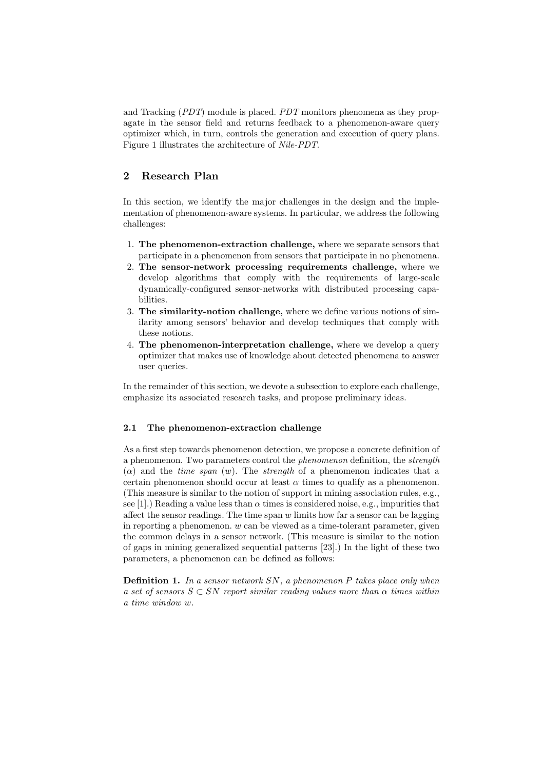and Tracking (PDT) module is placed. PDT monitors phenomena as they propagate in the sensor field and returns feedback to a phenomenon-aware query optimizer which, in turn, controls the generation and execution of query plans. Figure 1 illustrates the architecture of Nile-PDT.

# 2 Research Plan

In this section, we identify the major challenges in the design and the implementation of phenomenon-aware systems. In particular, we address the following challenges:

- 1. The phenomenon-extraction challenge, where we separate sensors that participate in a phenomenon from sensors that participate in no phenomena.
- 2. The sensor-network processing requirements challenge, where we develop algorithms that comply with the requirements of large-scale dynamically-configured sensor-networks with distributed processing capabilities.
- 3. The similarity-notion challenge, where we define various notions of similarity among sensors' behavior and develop techniques that comply with these notions.
- 4. The phenomenon-interpretation challenge, where we develop a query optimizer that makes use of knowledge about detected phenomena to answer user queries.

In the remainder of this section, we devote a subsection to explore each challenge, emphasize its associated research tasks, and propose preliminary ideas.

#### 2.1 The phenomenon-extraction challenge

As a first step towards phenomenon detection, we propose a concrete definition of a phenomenon. Two parameters control the phenomenon definition, the strength  $\alpha$  and the *time span*  $(w)$ . The *strength* of a phenomenon indicates that a certain phenomenon should occur at least  $\alpha$  times to qualify as a phenomenon. (This measure is similar to the notion of support in mining association rules, e.g., see [1].) Reading a value less than  $\alpha$  times is considered noise, e.g., impurities that affect the sensor readings. The time span  $w$  limits how far a sensor can be lagging in reporting a phenomenon. w can be viewed as a time-tolerant parameter, given the common delays in a sensor network. (This measure is similar to the notion of gaps in mining generalized sequential patterns [23].) In the light of these two parameters, a phenomenon can be defined as follows:

**Definition 1.** In a sensor network  $SN$ , a phenomenon P takes place only when a set of sensors  $S \subset SN$  report similar reading values more than  $\alpha$  times within a time window w.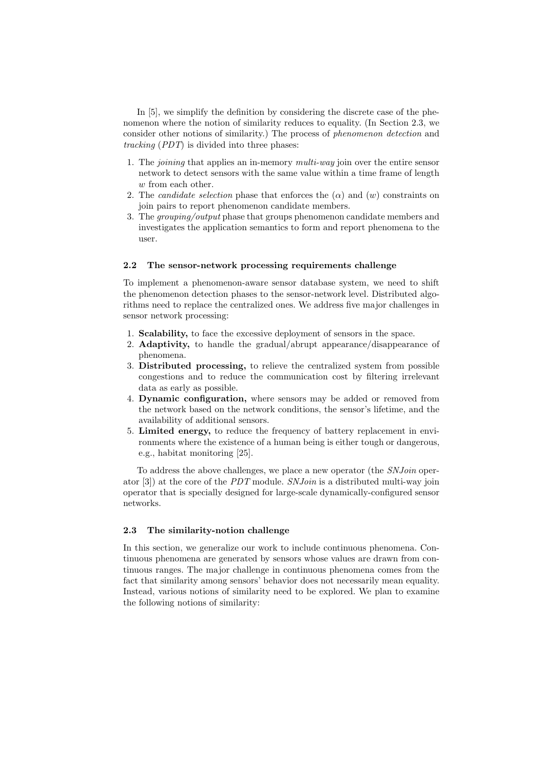In [5], we simplify the definition by considering the discrete case of the phenomenon where the notion of similarity reduces to equality. (In Section 2.3, we consider other notions of similarity.) The process of phenomenon detection and tracking (PDT) is divided into three phases:

- 1. The joining that applies an in-memory multi-way join over the entire sensor network to detect sensors with the same value within a time frame of length w from each other.
- 2. The *candidate selection* phase that enforces the  $(\alpha)$  and  $(w)$  constraints on join pairs to report phenomenon candidate members.
- 3. The grouping/output phase that groups phenomenon candidate members and investigates the application semantics to form and report phenomena to the user.

#### 2.2 The sensor-network processing requirements challenge

To implement a phenomenon-aware sensor database system, we need to shift the phenomenon detection phases to the sensor-network level. Distributed algorithms need to replace the centralized ones. We address five major challenges in sensor network processing:

- 1. Scalability, to face the excessive deployment of sensors in the space.
- 2. Adaptivity, to handle the gradual/abrupt appearance/disappearance of phenomena.
- 3. Distributed processing, to relieve the centralized system from possible congestions and to reduce the communication cost by filtering irrelevant data as early as possible.
- 4. Dynamic configuration, where sensors may be added or removed from the network based on the network conditions, the sensor's lifetime, and the availability of additional sensors.
- 5. Limited energy, to reduce the frequency of battery replacement in environments where the existence of a human being is either tough or dangerous, e.g., habitat monitoring [25].

To address the above challenges, we place a new operator (the SNJoin operator [3]) at the core of the PDT module. SNJoin is a distributed multi-way join operator that is specially designed for large-scale dynamically-configured sensor networks.

#### 2.3 The similarity-notion challenge

In this section, we generalize our work to include continuous phenomena. Continuous phenomena are generated by sensors whose values are drawn from continuous ranges. The major challenge in continuous phenomena comes from the fact that similarity among sensors' behavior does not necessarily mean equality. Instead, various notions of similarity need to be explored. We plan to examine the following notions of similarity: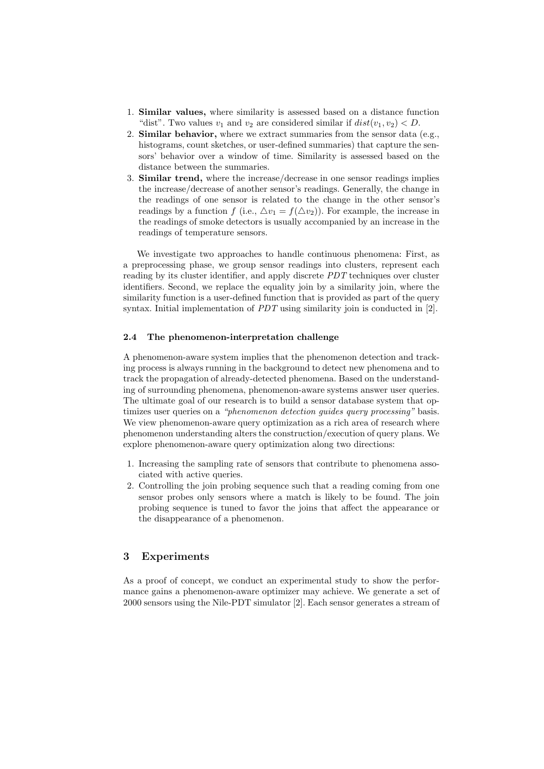- 1. Similar values, where similarity is assessed based on a distance function "dist". Two values  $v_1$  and  $v_2$  are considered similar if  $dist(v_1, v_2) < D$ .
- 2. Similar behavior, where we extract summaries from the sensor data (e.g., histograms, count sketches, or user-defined summaries) that capture the sensors' behavior over a window of time. Similarity is assessed based on the distance between the summaries.
- 3. Similar trend, where the increase/decrease in one sensor readings implies the increase/decrease of another sensor's readings. Generally, the change in the readings of one sensor is related to the change in the other sensor's readings by a function f (i.e.,  $\Delta v_1 = f(\Delta v_2)$ ). For example, the increase in the readings of smoke detectors is usually accompanied by an increase in the readings of temperature sensors.

We investigate two approaches to handle continuous phenomena: First, as a preprocessing phase, we group sensor readings into clusters, represent each reading by its cluster identifier, and apply discrete *PDT* techniques over cluster identifiers. Second, we replace the equality join by a similarity join, where the similarity function is a user-defined function that is provided as part of the query syntax. Initial implementation of *PDT* using similarity join is conducted in [2].

### 2.4 The phenomenon-interpretation challenge

A phenomenon-aware system implies that the phenomenon detection and tracking process is always running in the background to detect new phenomena and to track the propagation of already-detected phenomena. Based on the understanding of surrounding phenomena, phenomenon-aware systems answer user queries. The ultimate goal of our research is to build a sensor database system that optimizes user queries on a "phenomenon detection guides query processing" basis. We view phenomenon-aware query optimization as a rich area of research where phenomenon understanding alters the construction/execution of query plans. We explore phenomenon-aware query optimization along two directions:

- 1. Increasing the sampling rate of sensors that contribute to phenomena associated with active queries.
- 2. Controlling the join probing sequence such that a reading coming from one sensor probes only sensors where a match is likely to be found. The join probing sequence is tuned to favor the joins that affect the appearance or the disappearance of a phenomenon.

## 3 Experiments

As a proof of concept, we conduct an experimental study to show the performance gains a phenomenon-aware optimizer may achieve. We generate a set of 2000 sensors using the Nile-PDT simulator [2]. Each sensor generates a stream of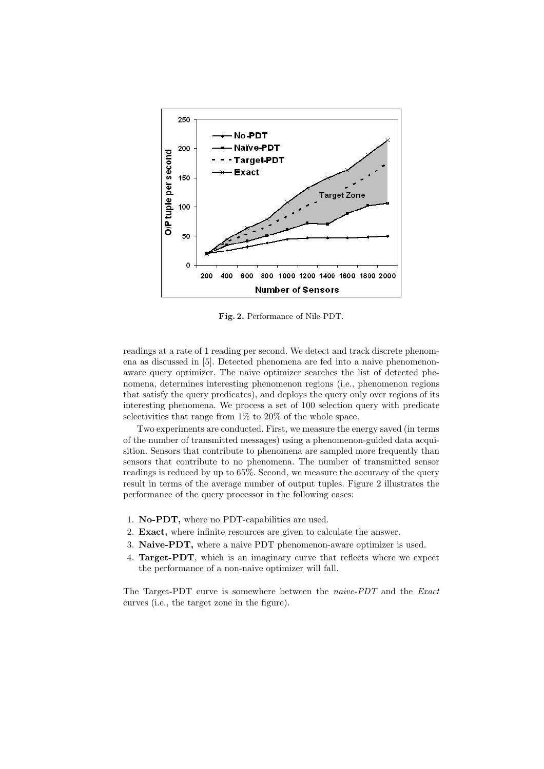

Fig. 2. Performance of Nile-PDT.

readings at a rate of 1 reading per second. We detect and track discrete phenomena as discussed in [5]. Detected phenomena are fed into a naive phenomenonaware query optimizer. The naive optimizer searches the list of detected phenomena, determines interesting phenomenon regions (i.e., phenomenon regions that satisfy the query predicates), and deploys the query only over regions of its interesting phenomena. We process a set of 100 selection query with predicate selectivities that range from 1% to 20% of the whole space.

Two experiments are conducted. First, we measure the energy saved (in terms of the number of transmitted messages) using a phenomenon-guided data acquisition. Sensors that contribute to phenomena are sampled more frequently than sensors that contribute to no phenomena. The number of transmitted sensor readings is reduced by up to 65%. Second, we measure the accuracy of the query result in terms of the average number of output tuples. Figure 2 illustrates the performance of the query processor in the following cases:

- 1. No-PDT, where no PDT-capabilities are used.
- 2. Exact, where infinite resources are given to calculate the answer.
- 3. Naive-PDT, where a naive PDT phenomenon-aware optimizer is used.
- 4. Target-PDT, which is an imaginary curve that reflects where we expect the performance of a non-naive optimizer will fall.

The Target-PDT curve is somewhere between the naive-PDT and the Exact curves (i.e., the target zone in the figure).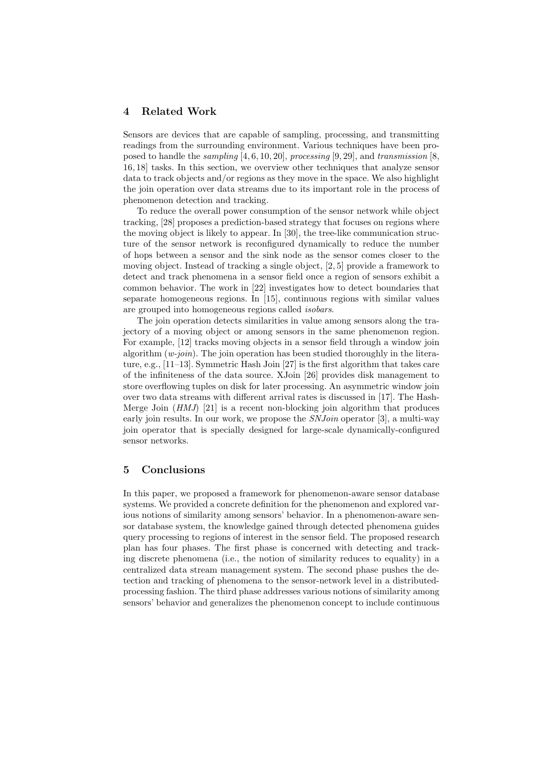# 4 Related Work

Sensors are devices that are capable of sampling, processing, and transmitting readings from the surrounding environment. Various techniques have been proposed to handle the sampling [4, 6, 10, 20], processing [9, 29], and transmission [8, 16, 18] tasks. In this section, we overview other techniques that analyze sensor data to track objects and/or regions as they move in the space. We also highlight the join operation over data streams due to its important role in the process of phenomenon detection and tracking.

To reduce the overall power consumption of the sensor network while object tracking, [28] proposes a prediction-based strategy that focuses on regions where the moving object is likely to appear. In [30], the tree-like communication structure of the sensor network is reconfigured dynamically to reduce the number of hops between a sensor and the sink node as the sensor comes closer to the moving object. Instead of tracking a single object, [2, 5] provide a framework to detect and track phenomena in a sensor field once a region of sensors exhibit a common behavior. The work in [22] investigates how to detect boundaries that separate homogeneous regions. In [15], continuous regions with similar values are grouped into homogeneous regions called isobars.

The join operation detects similarities in value among sensors along the trajectory of a moving object or among sensors in the same phenomenon region. For example, [12] tracks moving objects in a sensor field through a window join algorithm  $(w\text{-}join)$ . The join operation has been studied thoroughly in the literature, e.g., [11–13]. Symmetric Hash Join [27] is the first algorithm that takes care of the infiniteness of the data source. XJoin [26] provides disk management to store overflowing tuples on disk for later processing. An asymmetric window join over two data streams with different arrival rates is discussed in [17]. The Hash-Merge Join  $(HMJ)$  [21] is a recent non-blocking join algorithm that produces early join results. In our work, we propose the *SNJoin* operator [3], a multi-way join operator that is specially designed for large-scale dynamically-configured sensor networks.

### 5 Conclusions

In this paper, we proposed a framework for phenomenon-aware sensor database systems. We provided a concrete definition for the phenomenon and explored various notions of similarity among sensors' behavior. In a phenomenon-aware sensor database system, the knowledge gained through detected phenomena guides query processing to regions of interest in the sensor field. The proposed research plan has four phases. The first phase is concerned with detecting and tracking discrete phenomena (i.e., the notion of similarity reduces to equality) in a centralized data stream management system. The second phase pushes the detection and tracking of phenomena to the sensor-network level in a distributedprocessing fashion. The third phase addresses various notions of similarity among sensors' behavior and generalizes the phenomenon concept to include continuous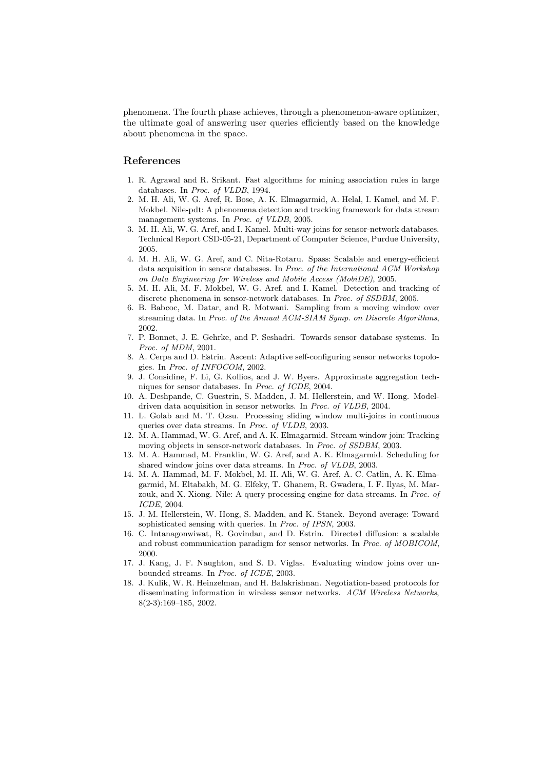phenomena. The fourth phase achieves, through a phenomenon-aware optimizer, the ultimate goal of answering user queries efficiently based on the knowledge about phenomena in the space.

#### References

- 1. R. Agrawal and R. Srikant. Fast algorithms for mining association rules in large databases. In Proc. of VLDB, 1994.
- 2. M. H. Ali, W. G. Aref, R. Bose, A. K. Elmagarmid, A. Helal, I. Kamel, and M. F. Mokbel. Nile-pdt: A phenomena detection and tracking framework for data stream management systems. In Proc. of VLDB, 2005.
- 3. M. H. Ali, W. G. Aref, and I. Kamel. Multi-way joins for sensor-network databases. Technical Report CSD-05-21, Department of Computer Science, Purdue University, 2005.
- 4. M. H. Ali, W. G. Aref, and C. Nita-Rotaru. Spass: Scalable and energy-efficient data acquisition in sensor databases. In Proc. of the International ACM Workshop on Data Engineering for Wireless and Mobile Access (MobiDE), 2005.
- 5. M. H. Ali, M. F. Mokbel, W. G. Aref, and I. Kamel. Detection and tracking of discrete phenomena in sensor-network databases. In Proc. of SSDBM, 2005.
- 6. B. Babcoc, M. Datar, and R. Motwani. Sampling from a moving window over streaming data. In Proc. of the Annual ACM-SIAM Symp. on Discrete Algorithms, 2002.
- 7. P. Bonnet, J. E. Gehrke, and P. Seshadri. Towards sensor database systems. In Proc. of MDM, 2001.
- 8. A. Cerpa and D. Estrin. Ascent: Adaptive self-configuring sensor networks topologies. In Proc. of INFOCOM, 2002.
- 9. J. Considine, F. Li, G. Kollios, and J. W. Byers. Approximate aggregation techniques for sensor databases. In Proc. of ICDE, 2004.
- 10. A. Deshpande, C. Guestrin, S. Madden, J. M. Hellerstein, and W. Hong. Modeldriven data acquisition in sensor networks. In Proc. of VLDB, 2004.
- 11. L. Golab and M. T. Ozsu. Processing sliding window multi-joins in continuous queries over data streams. In Proc. of VLDB, 2003.
- 12. M. A. Hammad, W. G. Aref, and A. K. Elmagarmid. Stream window join: Tracking moving objects in sensor-network databases. In Proc. of SSDBM, 2003.
- 13. M. A. Hammad, M. Franklin, W. G. Aref, and A. K. Elmagarmid. Scheduling for shared window joins over data streams. In Proc. of VLDB, 2003.
- 14. M. A. Hammad, M. F. Mokbel, M. H. Ali, W. G. Aref, A. C. Catlin, A. K. Elmagarmid, M. Eltabakh, M. G. Elfeky, T. Ghanem, R. Gwadera, I. F. Ilyas, M. Marzouk, and X. Xiong. Nile: A query processing engine for data streams. In Proc. of ICDE, 2004.
- 15. J. M. Hellerstein, W. Hong, S. Madden, and K. Stanek. Beyond average: Toward sophisticated sensing with queries. In Proc. of IPSN, 2003.
- 16. C. Intanagonwiwat, R. Govindan, and D. Estrin. Directed diffusion: a scalable and robust communication paradigm for sensor networks. In Proc. of MOBICOM, 2000.
- 17. J. Kang, J. F. Naughton, and S. D. Viglas. Evaluating window joins over unbounded streams. In Proc. of ICDE, 2003.
- 18. J. Kulik, W. R. Heinzelman, and H. Balakrishnan. Negotiation-based protocols for disseminating information in wireless sensor networks. ACM Wireless Networks, 8(2-3):169–185, 2002.